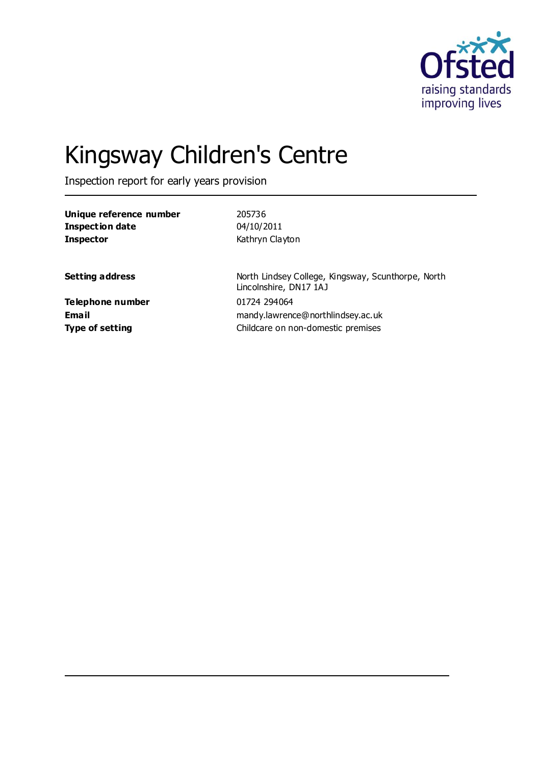

# Kingsway Children's Centre

Inspection report for early years provision

| 205736                                                                                  |
|-----------------------------------------------------------------------------------------|
| 04/10/2011                                                                              |
| Kathryn Clayton                                                                         |
| North Lindsey College, Kingsway, Scunthorpe, North<br>Lincolnshire, DN17 1AJ            |
| 01724 294064<br>mandy.lawrence@northlindsey.ac.uk<br>Childcare on non-domestic premises |
|                                                                                         |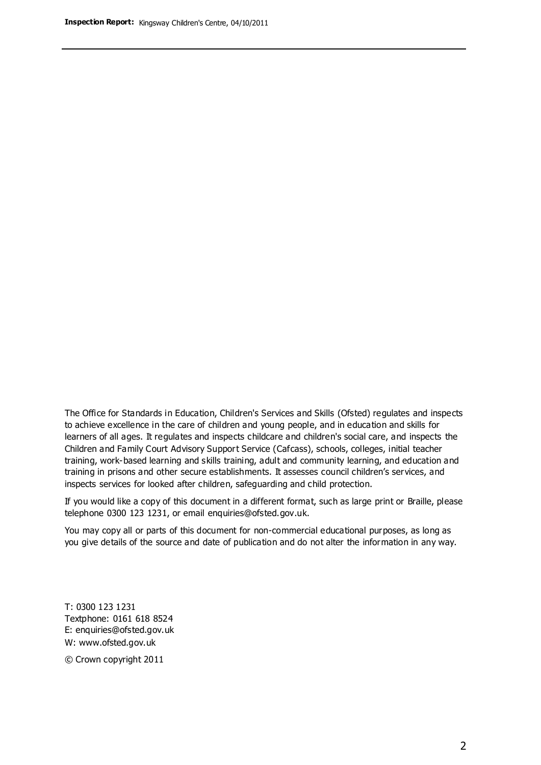The Office for Standards in Education, Children's Services and Skills (Ofsted) regulates and inspects to achieve excellence in the care of children and young people, and in education and skills for learners of all ages. It regulates and inspects childcare and children's social care, and inspects the Children and Family Court Advisory Support Service (Cafcass), schools, colleges, initial teacher training, work-based learning and skills training, adult and community learning, and education and training in prisons and other secure establishments. It assesses council children's services, and inspects services for looked after children, safeguarding and child protection.

If you would like a copy of this document in a different format, such as large print or Braille, please telephone 0300 123 1231, or email enquiries@ofsted.gov.uk.

You may copy all or parts of this document for non-commercial educational purposes, as long as you give details of the source and date of publication and do not alter the information in any way.

T: 0300 123 1231 Textphone: 0161 618 8524 E: enquiries@ofsted.gov.uk W: [www.ofsted.gov.uk](http://www.ofsted.gov.uk/)

© Crown copyright 2011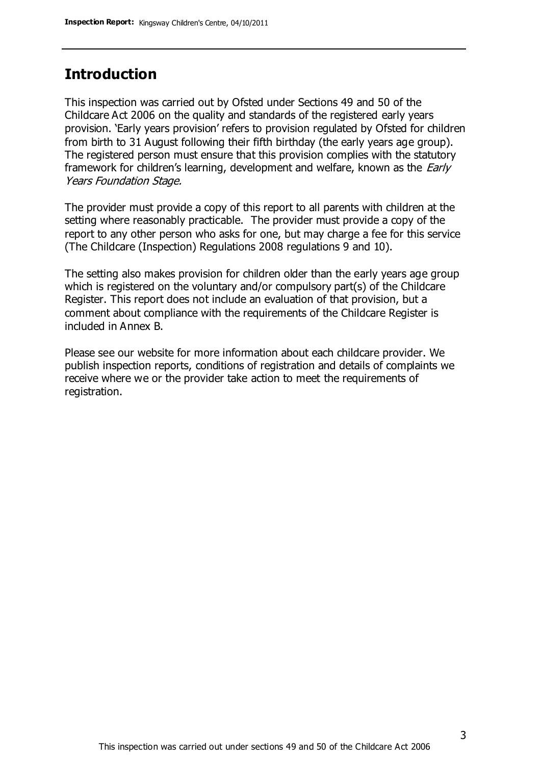### **Introduction**

This inspection was carried out by Ofsted under Sections 49 and 50 of the Childcare Act 2006 on the quality and standards of the registered early years provision. 'Early years provision' refers to provision regulated by Ofsted for children from birth to 31 August following their fifth birthday (the early years age group). The registered person must ensure that this provision complies with the statutory framework for children's learning, development and welfare, known as the *Early* Years Foundation Stage.

The provider must provide a copy of this report to all parents with children at the setting where reasonably practicable. The provider must provide a copy of the report to any other person who asks for one, but may charge a fee for this service (The Childcare (Inspection) Regulations 2008 regulations 9 and 10).

The setting also makes provision for children older than the early years age group which is registered on the voluntary and/or compulsory part(s) of the Childcare Register. This report does not include an evaluation of that provision, but a comment about compliance with the requirements of the Childcare Register is included in Annex B.

Please see our website for more information about each childcare provider. We publish inspection reports, conditions of registration and details of complaints we receive where we or the provider take action to meet the requirements of registration.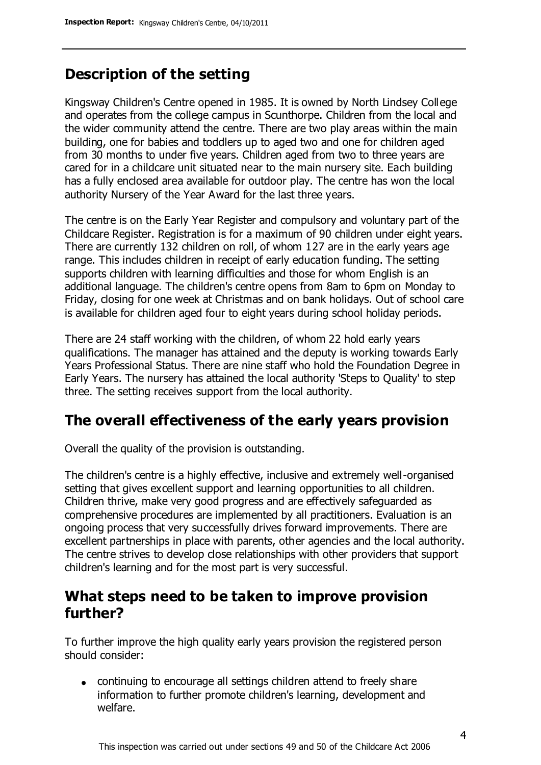### **Description of the setting**

Kingsway Children's Centre opened in 1985. It is owned by North Lindsey College and operates from the college campus in Scunthorpe. Children from the local and the wider community attend the centre. There are two play areas within the main building, one for babies and toddlers up to aged two and one for children aged from 30 months to under five years. Children aged from two to three years are cared for in a childcare unit situated near to the main nursery site. Each building has a fully enclosed area available for outdoor play. The centre has won the local authority Nursery of the Year Award for the last three years.

The centre is on the Early Year Register and compulsory and voluntary part of the Childcare Register. Registration is for a maximum of 90 children under eight years. There are currently 132 children on roll, of whom 127 are in the early years age range. This includes children in receipt of early education funding. The setting supports children with learning difficulties and those for whom English is an additional language. The children's centre opens from 8am to 6pm on Monday to Friday, closing for one week at Christmas and on bank holidays. Out of school care is available for children aged four to eight years during school holiday periods.

There are 24 staff working with the children, of whom 22 hold early years qualifications. The manager has attained and the deputy is working towards Early Years Professional Status. There are nine staff who hold the Foundation Degree in Early Years. The nursery has attained the local authority 'Steps to Quality' to step three. The setting receives support from the local authority.

### **The overall effectiveness of the early years provision**

Overall the quality of the provision is outstanding.

The children's centre is a highly effective, inclusive and extremely well-organised setting that gives excellent support and learning opportunities to all children. Children thrive, make very good progress and are effectively safeguarded as comprehensive procedures are implemented by all practitioners. Evaluation is an ongoing process that very successfully drives forward improvements. There are excellent partnerships in place with parents, other agencies and the local authority. The centre strives to develop close relationships with other providers that support children's learning and for the most part is very successful.

### **What steps need to be taken to improve provision further?**

To further improve the high quality early years provision the registered person should consider:

continuing to encourage all settings children attend to freely share information to further promote children's learning, development and welfare.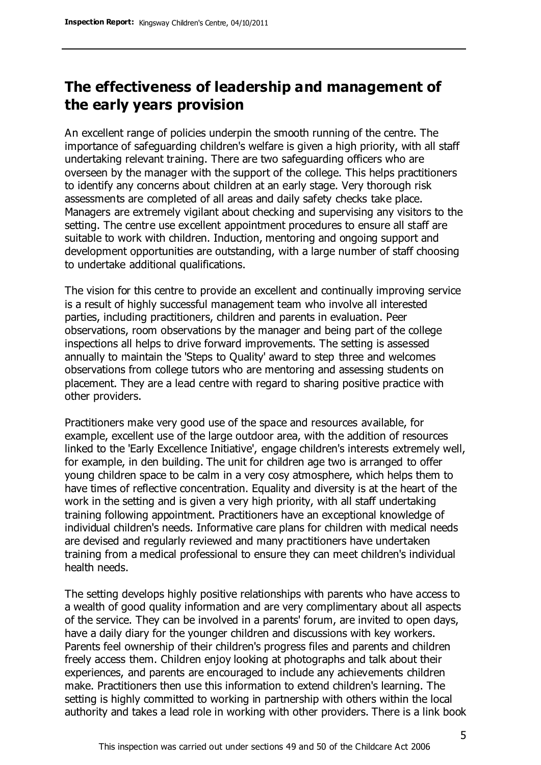### **The effectiveness of leadership and management of the early years provision**

An excellent range of policies underpin the smooth running of the centre. The importance of safeguarding children's welfare is given a high priority, with all staff undertaking relevant training. There are two safeguarding officers who are overseen by the manager with the support of the college. This helps practitioners to identify any concerns about children at an early stage. Very thorough risk assessments are completed of all areas and daily safety checks take place. Managers are extremely vigilant about checking and supervising any visitors to the setting. The centre use excellent appointment procedures to ensure all staff are suitable to work with children. Induction, mentoring and ongoing support and development opportunities are outstanding, with a large number of staff choosing to undertake additional qualifications.

The vision for this centre to provide an excellent and continually improving service is a result of highly successful management team who involve all interested parties, including practitioners, children and parents in evaluation. Peer observations, room observations by the manager and being part of the college inspections all helps to drive forward improvements. The setting is assessed annually to maintain the 'Steps to Quality' award to step three and welcomes observations from college tutors who are mentoring and assessing students on placement. They are a lead centre with regard to sharing positive practice with other providers.

Practitioners make very good use of the space and resources available, for example, excellent use of the large outdoor area, with the addition of resources linked to the 'Early Excellence Initiative', engage children's interests extremely well, for example, in den building. The unit for children age two is arranged to offer young children space to be calm in a very cosy atmosphere, which helps them to have times of reflective concentration. Equality and diversity is at the heart of the work in the setting and is given a very high priority, with all staff undertaking training following appointment. Practitioners have an exceptional knowledge of individual children's needs. Informative care plans for children with medical needs are devised and regularly reviewed and many practitioners have undertaken training from a medical professional to ensure they can meet children's individual health needs.

The setting develops highly positive relationships with parents who have access to a wealth of good quality information and are very complimentary about all aspects of the service. They can be involved in a parents' forum, are invited to open days, have a daily diary for the younger children and discussions with key workers. Parents feel ownership of their children's progress files and parents and children freely access them. Children enjoy looking at photographs and talk about their experiences, and parents are encouraged to include any achievements children make. Practitioners then use this information to extend children's learning. The setting is highly committed to working in partnership with others within the local authority and takes a lead role in working with other providers. There is a link book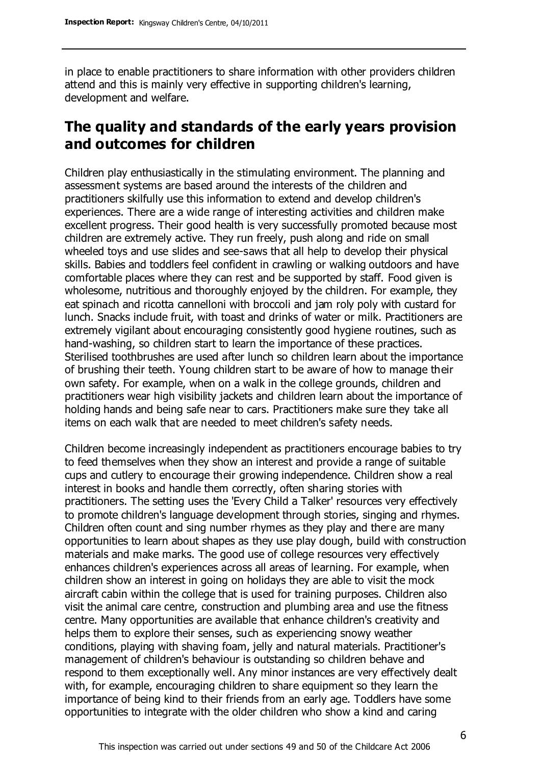in place to enable practitioners to share information with other providers children attend and this is mainly very effective in supporting children's learning, development and welfare.

### **The quality and standards of the early years provision and outcomes for children**

Children play enthusiastically in the stimulating environment. The planning and assessment systems are based around the interests of the children and practitioners skilfully use this information to extend and develop children's experiences. There are a wide range of interesting activities and children make excellent progress. Their good health is very successfully promoted because most children are extremely active. They run freely, push along and ride on small wheeled toys and use slides and see-saws that all help to develop their physical skills. Babies and toddlers feel confident in crawling or walking outdoors and have comfortable places where they can rest and be supported by staff. Food given is wholesome, nutritious and thoroughly enjoyed by the children. For example, they eat spinach and ricotta cannelloni with broccoli and jam roly poly with custard for lunch. Snacks include fruit, with toast and drinks of water or milk. Practitioners are extremely vigilant about encouraging consistently good hygiene routines, such as hand-washing, so children start to learn the importance of these practices. Sterilised toothbrushes are used after lunch so children learn about the importance of brushing their teeth. Young children start to be aware of how to manage their own safety. For example, when on a walk in the college grounds, children and practitioners wear high visibility jackets and children learn about the importance of holding hands and being safe near to cars. Practitioners make sure they take all items on each walk that are needed to meet children's safety needs.

Children become increasingly independent as practitioners encourage babies to try to feed themselves when they show an interest and provide a range of suitable cups and cutlery to encourage their growing independence. Children show a real interest in books and handle them correctly, often sharing stories with practitioners. The setting uses the 'Every Child a Talker' resources very effectively to promote children's language development through stories, singing and rhymes. Children often count and sing number rhymes as they play and there are many opportunities to learn about shapes as they use play dough, build with construction materials and make marks. The good use of college resources very effectively enhances children's experiences across all areas of learning. For example, when children show an interest in going on holidays they are able to visit the mock aircraft cabin within the college that is used for training purposes. Children also visit the animal care centre, construction and plumbing area and use the fitness centre. Many opportunities are available that enhance children's creativity and helps them to explore their senses, such as experiencing snowy weather conditions, playing with shaving foam, jelly and natural materials. Practitioner's management of children's behaviour is outstanding so children behave and respond to them exceptionally well. Any minor instances are very effectively dealt with, for example, encouraging children to share equipment so they learn the importance of being kind to their friends from an early age. Toddlers have some opportunities to integrate with the older children who show a kind and caring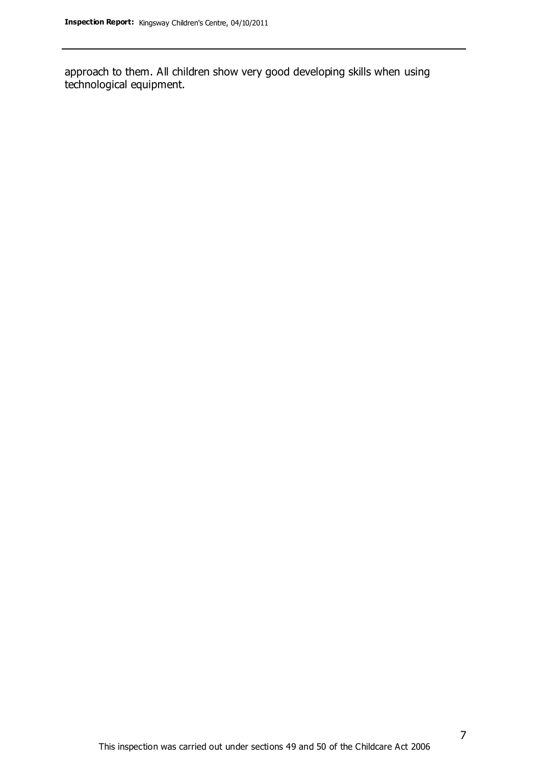approach to them. All children show very good developing skills when using technological equipment.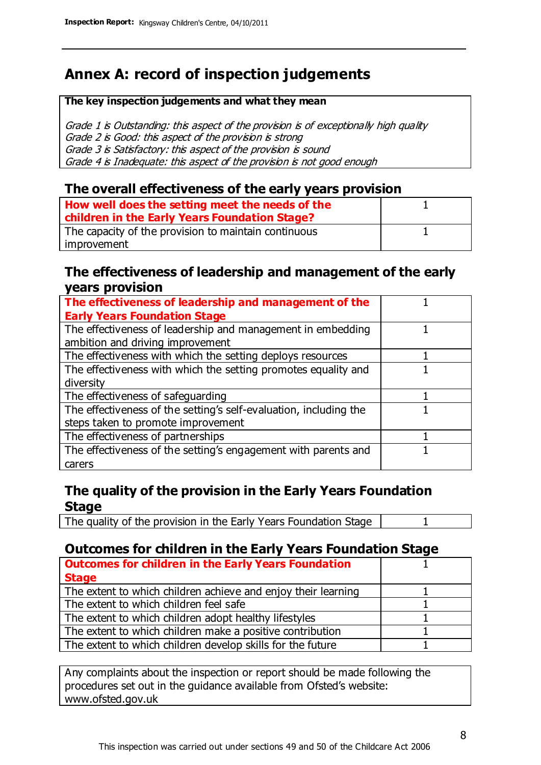### **Annex A: record of inspection judgements**

#### **The key inspection judgements and what they mean**

Grade 1 is Outstanding: this aspect of the provision is of exceptionally high quality Grade 2 is Good: this aspect of the provision is strong Grade 3 is Satisfactory: this aspect of the provision is sound Grade 4 is Inadequate: this aspect of the provision is not good enough

#### **The overall effectiveness of the early years provision**

| How well does the setting meet the needs of the<br>children in the Early Years Foundation Stage? |  |
|--------------------------------------------------------------------------------------------------|--|
| The capacity of the provision to maintain continuous                                             |  |
| improvement                                                                                      |  |

#### **The effectiveness of leadership and management of the early years provision**

| The effectiveness of leadership and management of the             |  |
|-------------------------------------------------------------------|--|
| <b>Early Years Foundation Stage</b>                               |  |
| The effectiveness of leadership and management in embedding       |  |
| ambition and driving improvement                                  |  |
| The effectiveness with which the setting deploys resources        |  |
| The effectiveness with which the setting promotes equality and    |  |
| diversity                                                         |  |
| The effectiveness of safeguarding                                 |  |
| The effectiveness of the setting's self-evaluation, including the |  |
| steps taken to promote improvement                                |  |
| The effectiveness of partnerships                                 |  |
| The effectiveness of the setting's engagement with parents and    |  |
| carers                                                            |  |

#### **The quality of the provision in the Early Years Foundation Stage**

The quality of the provision in the Early Years Foundation Stage | 1

#### **Outcomes for children in the Early Years Foundation Stage**

| <b>Outcomes for children in the Early Years Foundation</b>    |  |
|---------------------------------------------------------------|--|
| <b>Stage</b>                                                  |  |
| The extent to which children achieve and enjoy their learning |  |
| The extent to which children feel safe                        |  |
| The extent to which children adopt healthy lifestyles         |  |
| The extent to which children make a positive contribution     |  |
| The extent to which children develop skills for the future    |  |

Any complaints about the inspection or report should be made following the procedures set out in the guidance available from Ofsted's website: www.ofsted.gov.uk